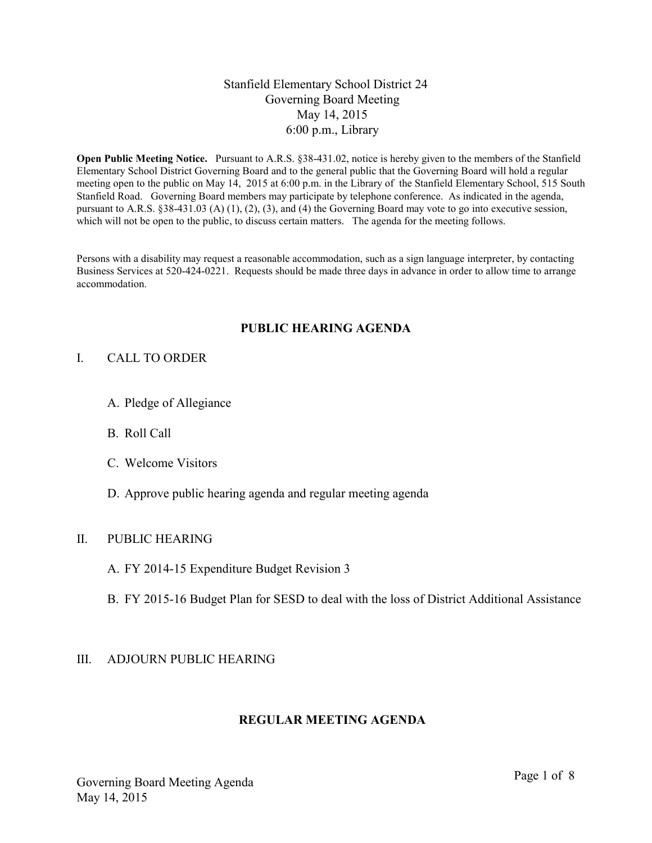## Stanfield Elementary School District 24 Governing Board Meeting May 14, 2015 6:00 p.m., Library

**Open Public Meeting Notice.** Pursuant to A.R.S. §38-431.02, notice is hereby given to the members of the Stanfield Elementary School District Governing Board and to the general public that the Governing Board will hold a regular meeting open to the public on May 14, 2015 at 6:00 p.m. in the Library of the Stanfield Elementary School, 515 South Stanfield Road. Governing Board members may participate by telephone conference. As indicated in the agenda, pursuant to A.R.S. §38-431.03 (A) (1), (2), (3), and (4) the Governing Board may vote to go into executive session, which will not be open to the public, to discuss certain matters. The agenda for the meeting follows.

Persons with a disability may request a reasonable accommodation, such as a sign language interpreter, by contacting Business Services at 520-424-0221. Requests should be made three days in advance in order to allow time to arrange accommodation.

### **PUBLIC HEARING AGENDA**

#### I. CALL TO ORDER

- A. Pledge of Allegiance
- B. Roll Call
- C. Welcome Visitors
- D. Approve public hearing agenda and regular meeting agenda

### II. PUBLIC HEARING

- A. FY 2014-15 Expenditure Budget Revision 3
- B. FY 2015-16 Budget Plan for SESD to deal with the loss of District Additional Assistance

#### III. ADJOURN PUBLIC HEARING

#### **REGULAR MEETING AGENDA**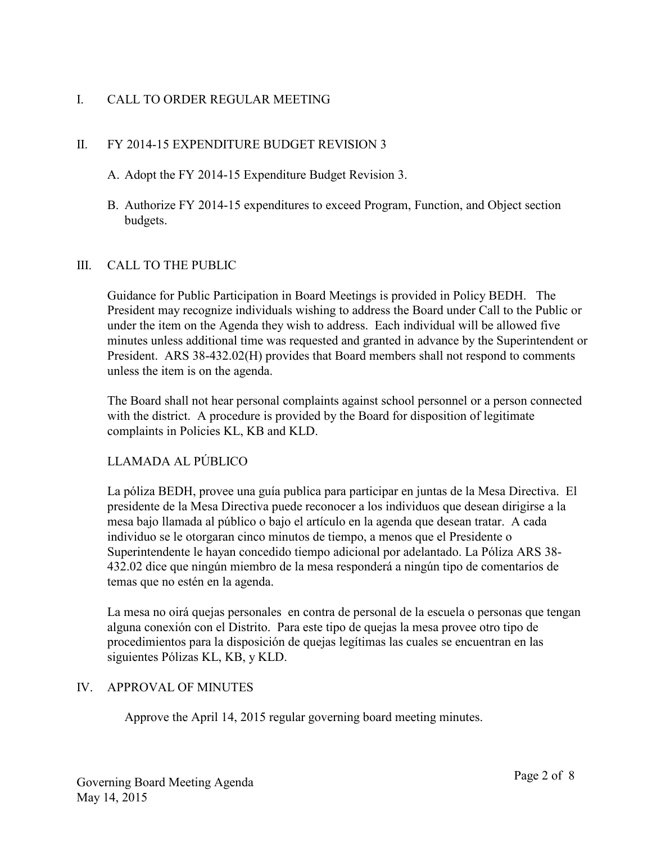# I. CALL TO ORDER REGULAR MEETING

# II. FY 2014-15 EXPENDITURE BUDGET REVISION 3

- A. Adopt the FY 2014-15 Expenditure Budget Revision 3.
- B. Authorize FY 2014-15 expenditures to exceed Program, Function, and Object section budgets.

## III. CALL TO THE PUBLIC

Guidance for Public Participation in Board Meetings is provided in Policy BEDH. The President may recognize individuals wishing to address the Board under Call to the Public or under the item on the Agenda they wish to address. Each individual will be allowed five minutes unless additional time was requested and granted in advance by the Superintendent or President. ARS 38-432.02(H) provides that Board members shall not respond to comments unless the item is on the agenda.

The Board shall not hear personal complaints against school personnel or a person connected with the district. A procedure is provided by the Board for disposition of legitimate complaints in Policies KL, KB and KLD.

# LLAMADA AL PÚBLICO

La póliza BEDH, provee una guía publica para participar en juntas de la Mesa Directiva. El presidente de la Mesa Directiva puede reconocer a los individuos que desean dirigirse a la mesa bajo llamada al público o bajo el artículo en la agenda que desean tratar. A cada individuo se le otorgaran cinco minutos de tiempo, a menos que el Presidente o Superintendente le hayan concedido tiempo adicional por adelantado. La Póliza ARS 38- 432.02 dice que ningún miembro de la mesa responderá a ningún tipo de comentarios de temas que no estén en la agenda.

La mesa no oirá quejas personales en contra de personal de la escuela o personas que tengan alguna conexión con el Distrito. Para este tipo de quejas la mesa provee otro tipo de procedimientos para la disposición de quejas legítimas las cuales se encuentran en las siguientes Pólizas KL, KB, y KLD.

## IV. APPROVAL OF MINUTES

Approve the April 14, 2015 regular governing board meeting minutes.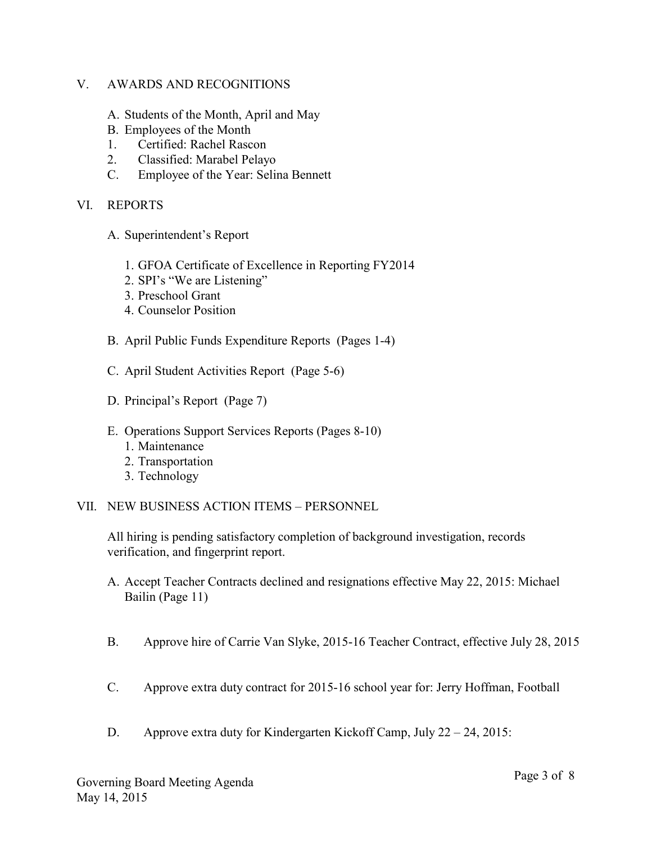### V. AWARDS AND RECOGNITIONS

- A. Students of the Month, April and May
- B. Employees of the Month
- 1. Certified: Rachel Rascon
- 2. Classified: Marabel Pelayo
- C. Employee of the Year: Selina Bennett

### VI. REPORTS

- A. Superintendent's Report
	- 1. GFOA Certificate of Excellence in Reporting FY2014
	- 2. SPI's "We are Listening"
	- 3. Preschool Grant
	- 4. Counselor Position
- B. April Public Funds Expenditure Reports (Pages 1-4)
- C. April Student Activities Report (Page 5-6)
- D. Principal's Report (Page 7)
- E. Operations Support Services Reports (Pages 8-10)
	- 1. Maintenance
	- 2. Transportation
	- 3. Technology
- VII. NEW BUSINESS ACTION ITEMS PERSONNEL

All hiring is pending satisfactory completion of background investigation, records verification, and fingerprint report.

- A. Accept Teacher Contracts declined and resignations effective May 22, 2015: Michael Bailin (Page 11)
- B. Approve hire of Carrie Van Slyke, 2015-16 Teacher Contract, effective July 28, 2015
- C. Approve extra duty contract for 2015-16 school year for: Jerry Hoffman, Football
- D. Approve extra duty for Kindergarten Kickoff Camp, July 22 24, 2015: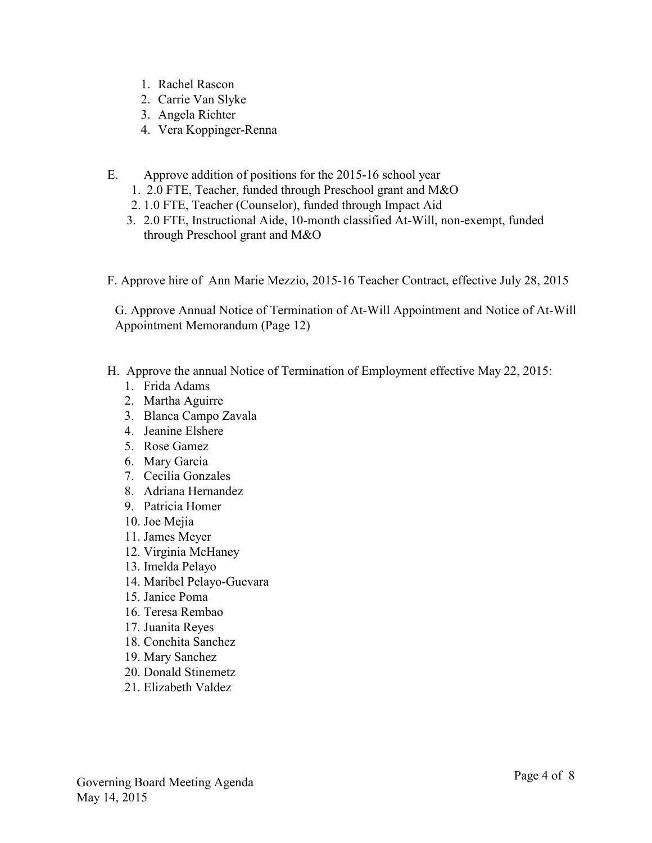- 1. Rachel Rascon
- 2. Carrie Van Slyke
- 3. Angela Richter
- 4. Vera Koppinger-Renna
- E. Approve addition of positions for the 2015-16 school year
	- 1. 2.0 FTE, Teacher, funded through Preschool grant and M&O
	- 2. 1.0 FTE, Teacher (Counselor), funded through Impact Aid
	- 3. 2.0 FTE, Instructional Aide, 10-month classified At-Will, non-exempt, funded through Preschool grant and M&O
- F. Approve hire of Ann Marie Mezzio, 2015-16 Teacher Contract, effective July 28, 2015

G. Approve Annual Notice of Termination of At-Will Appointment and Notice of At-Will Appointment Memorandum (Page 12)

- H. Approve the annual Notice of Termination of Employment effective May 22, 2015:
	- 1. Frida Adams
	- 2. Martha Aguirre
	- 3. Blanca Campo Zavala
	- 4. Jeanine Elshere
	- 5. Rose Gamez
	- 6. Mary Garcia
	- 7. Cecilia Gonzales
	- 8. Adriana Hernandez
	- 9. Patricia Homer
	- 10. Joe Mejia
	- 11. James Meyer
	- 12. Virginia McHaney
	- 13. Imelda Pelayo
	- 14. Maribel Pelayo-Guevara
	- 15. Janice Poma
	- 16. Teresa Rembao
	- 17. Juanita Reyes
	- 18. Conchita Sanchez
	- 19. Mary Sanchez
	- 20. Donald Stinemetz
	- 21. Elizabeth Valdez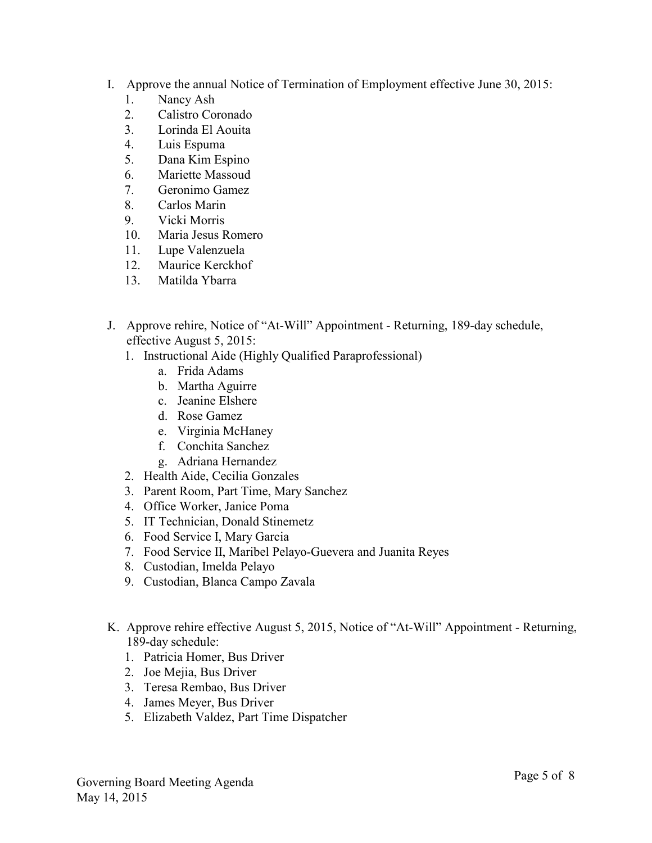- I. Approve the annual Notice of Termination of Employment effective June 30, 2015:
	- 1. Nancy Ash
	- 2. Calistro Coronado
	- 3. Lorinda El Aouita
	- 4. Luis Espuma
	- 5. Dana Kim Espino
	- 6. Mariette Massoud
	- 7. Geronimo Gamez
	- 8. Carlos Marin
	- 9. Vicki Morris
	- 10. Maria Jesus Romero
	- 11. Lupe Valenzuela
	- 12. Maurice Kerckhof
	- 13. Matilda Ybarra
- J. Approve rehire, Notice of "At-Will" Appointment Returning, 189-day schedule, effective August 5, 2015:
	- 1. Instructional Aide (Highly Qualified Paraprofessional)
		- a. Frida Adams
		- b. Martha Aguirre
		- c. Jeanine Elshere
		- d. Rose Gamez
		- e. Virginia McHaney
		- f. Conchita Sanchez
		- g. Adriana Hernandez
	- 2. Health Aide, Cecilia Gonzales
	- 3. Parent Room, Part Time, Mary Sanchez
	- 4. Office Worker, Janice Poma
	- 5. IT Technician, Donald Stinemetz
	- 6. Food Service I, Mary Garcia
	- 7. Food Service II, Maribel Pelayo-Guevera and Juanita Reyes
	- 8. Custodian, Imelda Pelayo
	- 9. Custodian, Blanca Campo Zavala
- K. Approve rehire effective August 5, 2015, Notice of "At-Will" Appointment Returning, 189-day schedule:
	- 1. Patricia Homer, Bus Driver
	- 2. Joe Mejia, Bus Driver
	- 3. Teresa Rembao, Bus Driver
	- 4. James Meyer, Bus Driver
	- 5. Elizabeth Valdez, Part Time Dispatcher